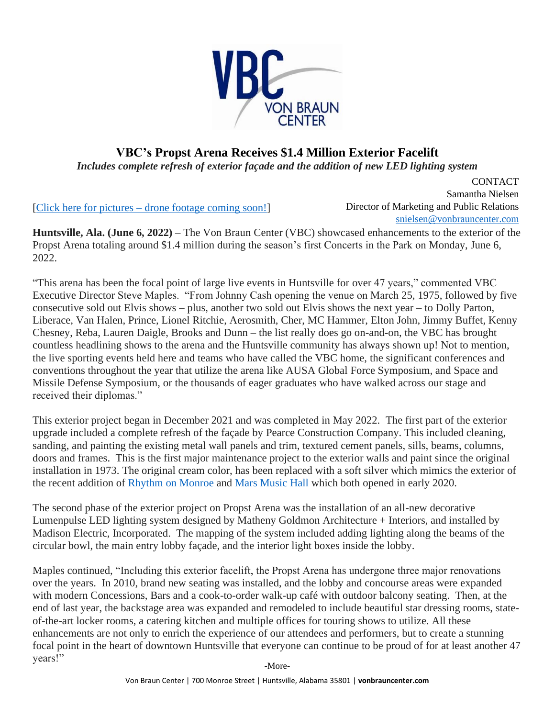

## **VBC's Propst Arena Receives \$1.4 Million Exterior Facelift**

*Includes complete refresh of exterior façade and the addition of new LED lighting system*

[\[Click here for pictures](https://drive.google.com/drive/folders/1vIp3RBWkS-H0pw7zVJzRr03M_KBndmVL?usp=sharing) – drone footage coming soon!]

CONTACT Samantha Nielsen Director of Marketing and Public Relations [snielsen@vonbrauncenter.com](mailto:snielsen@vonbrauncenter.com)

**Huntsville, Ala. (June 6, 2022)** – The Von Braun Center (VBC) showcased enhancements to the exterior of the Propst Arena totaling around \$1.4 million during the season's first Concerts in the Park on Monday, June 6, 2022.

"This arena has been the focal point of large live events in Huntsville for over 47 years," commented VBC Executive Director Steve Maples. "From Johnny Cash opening the venue on March 25, 1975, followed by five consecutive sold out Elvis shows – plus, another two sold out Elvis shows the next year – to Dolly Parton, Liberace, Van Halen, Prince, Lionel Ritchie, Aerosmith, Cher, MC Hammer, Elton John, Jimmy Buffet, Kenny Chesney, Reba, Lauren Daigle, Brooks and Dunn – the list really does go on-and-on, the VBC has brought countless headlining shows to the arena and the Huntsville community has always shown up! Not to mention, the live sporting events held here and teams who have called the VBC home, the significant conferences and conventions throughout the year that utilize the arena like AUSA Global Force Symposium, and Space and Missile Defense Symposium, or the thousands of eager graduates who have walked across our stage and received their diplomas."

This exterior project began in December 2021 and was completed in May 2022. The first part of the exterior upgrade included a complete refresh of the façade by Pearce Construction Company. This included cleaning, sanding, and painting the existing metal wall panels and trim, textured cement panels, sills, beams, columns, doors and frames. This is the first major maintenance project to the exterior walls and paint since the original installation in 1973. The original cream color, has been replaced with a soft silver which mimics the exterior of the recent addition of [Rhythm on Monroe](https://www.vonbrauncenter.com/rhythmonmonroe/) and [Mars Music Hall](https://www.vonbrauncenter.com/marsmusic/) which both opened in early 2020.

The second phase of the exterior project on Propst Arena was the installation of an all-new decorative Lumenpulse LED lighting system designed by Matheny Goldmon Architecture + Interiors, and installed by Madison Electric, Incorporated. The mapping of the system included adding lighting along the beams of the circular bowl, the main entry lobby façade, and the interior light boxes inside the lobby.

Maples continued, "Including this exterior facelift, the Propst Arena has undergone three major renovations over the years. In 2010, brand new seating was installed, and the lobby and concourse areas were expanded with modern Concessions, Bars and a cook-to-order walk-up café with outdoor balcony seating. Then, at the end of last year, the backstage area was expanded and remodeled to include beautiful star dressing rooms, stateof-the-art locker rooms, a catering kitchen and multiple offices for touring shows to utilize. All these enhancements are not only to enrich the experience of our attendees and performers, but to create a stunning focal point in the heart of downtown Huntsville that everyone can continue to be proud of for at least another 47 years!"

-More-